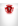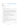Family Bank Limited, 74145 - 00200, Nairobi Kenya, Head Office, Family Bank Towers Muindi Mbingu and Mokta Dadar streets Junction, CBD. Frequently Asked Questions

## T +(254) 703 095 445

- 1. What are "Medium-Term Note Programmes"?
- **Answer:**

Medium-term note ("MTN") Programmes enable companies to offer debt securities on a regular and/or continuous basis. As compared to other forms of debt securities, MTNs tend to have their own type of settlement procedures and marketing methods, which are similar in some respects to those of other bonds offerings. Although medium-Term Notes typically have maturities of between two to five years, they are not required to have medium terms. It is common for companies to issue both short-term and longterm securities under an MTN Programme.

- 2. What is the Family Bank Medium-Term Note Programmes?
- **Answer:** Family Bank Limited has gotten approvals from the Regulators to issue a Subordinated Multicurrency Medium Term Note Programme of up to Kes 8,000,000,000 or the equivalent in other currencies at the date of issue. The first tranche issue size consists of up to KES 3,000,000,000 Green Shoe Option Up to KES 1,000,000,000
- 3. What is the minimum amount to invest?
- **Answer:** Kes 100,000 with additional multiples of Kes 100,000
- 4. Why is the Bank issuing the MTN?

 **Answer:** The purpose of raising funds is to facilitate expansion of the branch network and alternative business channels, investment into ICT software and infrastructure upgrade, business growth including on-lending activities, strengthening the total capital base and part of regional market entry financing

- 5. What is the tenor?
- **Answer:** 5.5 years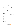|    | 6. What is the issue price and Coupon rate?                                                                                                                                                                    |
|----|----------------------------------------------------------------------------------------------------------------------------------------------------------------------------------------------------------------|
|    | Answer:<br><b>Issue Price</b><br>i) Fixed Rate Notes: - 100% of the Aggregate Nominal Amount<br>(ii) Floating Rate Notes: - 100% of the Aggregate Nominal Amount<br><b>Coupon Rate</b>                         |
|    | i) Fixed Rate Notes: - 13.0% per annum payable semi-annually<br>(ii) Floating Rate Notes: - 182-day T bill + 250bps payable semi-annually                                                                      |
|    | 7. When does the offer open, close and settlement date?                                                                                                                                                        |
|    | Answer:<br>Opens on 08th June 2021<br>Closes on 22nd June 2021<br>Settlement on 24th June 2021                                                                                                                 |
|    | 6. What are rate caps/ rate floors/ upside potential?                                                                                                                                                          |
|    | Answer:<br>i. Fixed Rate Notes:<br>• 5.5 year notes: None.<br>ii. Floating Rate Notes:<br>• 5.5 year notes: Coupon Cap rate - 13.25%, Coupon Floor rate - 12.5%.                                               |
|    | 7. What are the interest payment dates?                                                                                                                                                                        |
|    | Answer:<br>23 - Dec - 21<br>23 - Jun - 22<br>22 - Dec - 22<br>22 - Jun - 23<br>21 - Dec - 23<br>$20 - Jun - 24$<br>$19 - Dec - 24$<br>$19 - Jun - 25$<br>$18 - Dec - 25$<br>$18 - Jun - 26$<br>$17 - Dec - 26$ |
| 8. | Will the MTN be listed?                                                                                                                                                                                        |
|    | <b>Answer:</b><br>The Notes, if denominated in Kenya Shillings, will be listed on the Fixed Income                                                                                                             |

I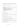Securities Market Segment of the Nairobi Securities Exchange. As specified in the relevant Pricing Supplement, a series of the Notes may be unlisted. The listing will be on 25<sup>th</sup> June 2021

- 9. Who are the parties involved in arranging for the MTN?
- **Answer:**

**Mandated Lead Arrangers and Placing Agents**: NCBA Investment Bank Limited and Genghis Capital Limited

**Issue & Payment Agent-Calculation Agent & Registrar:** Family Bank Limited **Legal Counsel:** Mboya Wango ng'u & Wa iyaki Advocates **Reporting Accountants:** PricewaterhouseCoopers LLP **Note Trustees:** MTC Trust and Corporate Services Limited **Media and Public Relations Advisors:** Tim-sky Media Services Limited **Receiving Bank**: Family Bank Limited

10. Who is eligible?

- **Answer:** The general public
- 11. What is the process of application?
- **Answer:** Investors can visit FBL branches, NCBA Investment Bank or Genghis Capital Ltd.
- 12. What documents are required?
- **Answer:** KRA PIN, ID and your CDSC account number
- 13. Can the bondholder get their money back before the maturity date?
- **Answer:** Yes. Since the notes will be listed at NSE, they can be traded.
- 14. Can I obtain physical certificates for my MTN investment?
- **Answer:** No. The MTN will be issued in a dematerialized form. As such there will be no physical Note Certificate.
- 15. Is the interest from the MTN taxed?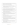- **Answer:** Yes. The interest will attract 15% withholding tax. For tax exempt investors, kindly ensure they attach their tax exemption certificate.
- 16. Should the source of funds be disclosed during application?
- . **Answer:** Yes. To ensure we are in compliance with the AML regulations, full disclosure on the source of funds is highly emphasized. For non-customers, we highly encourage transfers instead of cash.
- 17. Is the investment opportunity available for to the diaspora customers?
- . **Answer:** Yes. Interested diaspora customers will be provided with the serialised forms (scanned). This will be coordinated by the Diaspora team at Head office.

18. Will customers need to open CDSC accounts with Family Bank?

- . **Answer:** No. Investors with CDSC accounts will not need to open another one. If an investor does not have a CDSC account, they will have to fill the CDSC account application form and provide ID and KRA pin.
- 19. Can investors invest in USD or other foreign currency?
- . **Answer:** No. We have an 8 billion multicurrency MTN approval. However, the first tranche of Kes 4 billion is local currency (i.e. Kes) only. Therefore, we are only accepting Kes.
- 20. What does redemption at par mean?
- **Answer:** Redemption at means investors will receive the same amount invested at maturity. However, they will receive Interest twice every year.
- 21. What is the difference between fixed and floating rate?
- **Answer:** Fixed rate means investor will have their interest calculated based on the provided 13% for the entire MTN period. Floating rate is variable and is based on the 182 day TBill plus 250 basis points (2.5%). However floating rate has a ceiling and floor rates of 13.25% and 12.5%
- 22. What does green shoe option mean?
- **Answer:** A green shoe option is an over-allotment option. This gives the bank an allowance to accept additional subscriptions of upto Kes 1,000,000,000 above the targeted Kes 3,000,000,000.
- 23. Can FBL staff and their families invest in the MTN?